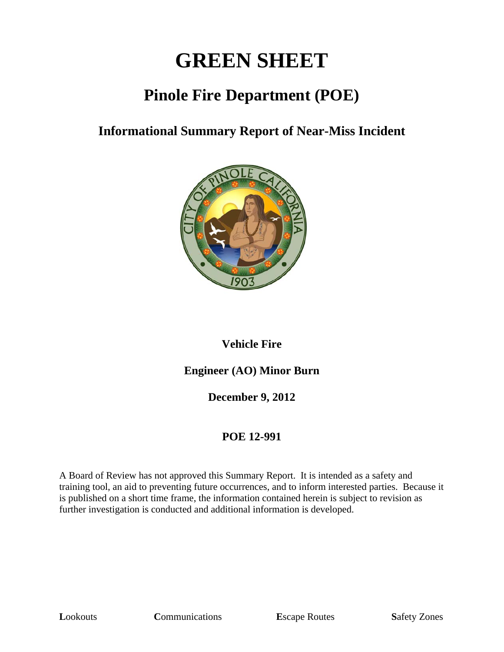# **GREEN SHEET**

# **Pinole Fire Department (POE)**

#### **Informational Summary Report of Near-Miss Incident**



#### **Vehicle Fire**

#### **Engineer (AO) Minor Burn**

**December 9, 2012** 

#### **POE 12-991**

A Board of Review has not approved this Summary Report. It is intended as a safety and training tool, an aid to preventing future occurrences, and to inform interested parties. Because it is published on a short time frame, the information contained herein is subject to revision as further investigation is conducted and additional information is developed.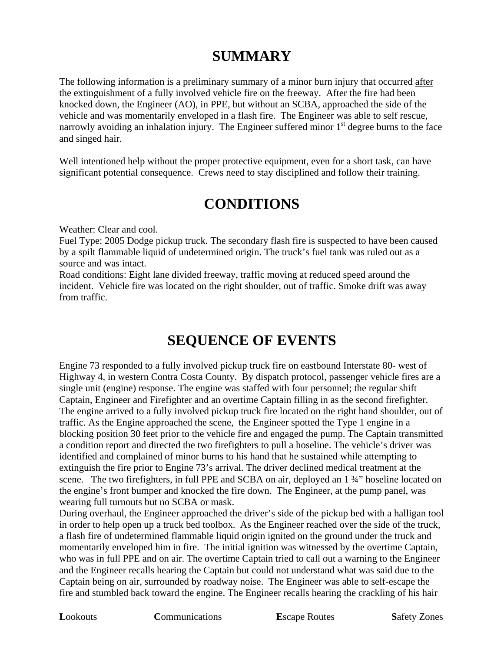## **SUMMARY**

The following information is a preliminary summary of a minor burn injury that occurred after the extinguishment of a fully involved vehicle fire on the freeway. After the fire had been knocked down, the Engineer (AO), in PPE, but without an SCBA, approached the side of the vehicle and was momentarily enveloped in a flash fire. The Engineer was able to self rescue, narrowly avoiding an inhalation injury. The Engineer suffered minor  $1<sup>st</sup>$  degree burns to the face and singed hair.

Well intentioned help without the proper protective equipment, even for a short task, can have significant potential consequence. Crews need to stay disciplined and follow their training.

### **CONDITIONS**

Weather: Clear and cool.

Fuel Type: 2005 Dodge pickup truck. The secondary flash fire is suspected to have been caused by a spilt flammable liquid of undetermined origin. The truck's fuel tank was ruled out as a source and was intact.

Road conditions: Eight lane divided freeway, traffic moving at reduced speed around the incident. Vehicle fire was located on the right shoulder, out of traffic. Smoke drift was away from traffic.

## **SEQUENCE OF EVENTS**

Engine 73 responded to a fully involved pickup truck fire on eastbound Interstate 80- west of Highway 4, in western Contra Costa County. By dispatch protocol, passenger vehicle fires are a single unit (engine) response. The engine was staffed with four personnel; the regular shift Captain, Engineer and Firefighter and an overtime Captain filling in as the second firefighter. The engine arrived to a fully involved pickup truck fire located on the right hand shoulder, out of traffic. As the Engine approached the scene, the Engineer spotted the Type 1 engine in a blocking position 30 feet prior to the vehicle fire and engaged the pump. The Captain transmitted a condition report and directed the two firefighters to pull a hoseline. The vehicle's driver was identified and complained of minor burns to his hand that he sustained while attempting to extinguish the fire prior to Engine 73's arrival. The driver declined medical treatment at the scene. The two firefighters, in full PPE and SCBA on air, deployed an 1  $\frac{3}{4}$ " hoseline located on the engine's front bumper and knocked the fire down. The Engineer, at the pump panel, was wearing full turnouts but no SCBA or mask.

During overhaul, the Engineer approached the driver's side of the pickup bed with a halligan tool in order to help open up a truck bed toolbox. As the Engineer reached over the side of the truck, a flash fire of undetermined flammable liquid origin ignited on the ground under the truck and momentarily enveloped him in fire. The initial ignition was witnessed by the overtime Captain, who was in full PPE and on air. The overtime Captain tried to call out a warning to the Engineer and the Engineer recalls hearing the Captain but could not understand what was said due to the Captain being on air, surrounded by roadway noise. The Engineer was able to self-escape the fire and stumbled back toward the engine. The Engineer recalls hearing the crackling of his hair

**L**ookouts **C**ommunications **E**scape Routes **S**afety Zones